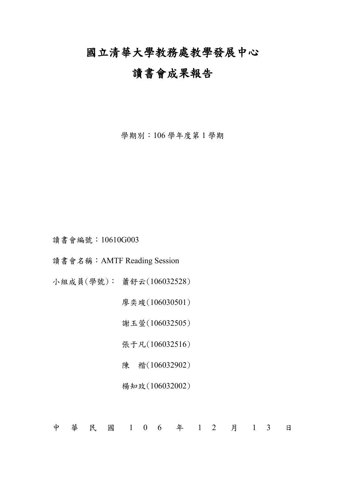# 國立清華大學教務處教學發展中心

## 讀書會成果報告

學期別:106 學年度第 1 學期

讀書會編號:10610G003

讀書會名稱:AMTF Reading Session

小組成員(學號): 蕭舒云(106032528)

廖奕竣(106030501)

謝玉萱(106032505)

張于凡(106032516)

陳 楷(106032902)

楊知玫(106032002)

中 華 民 國 1 0 6 年 1 2 月 1 3 日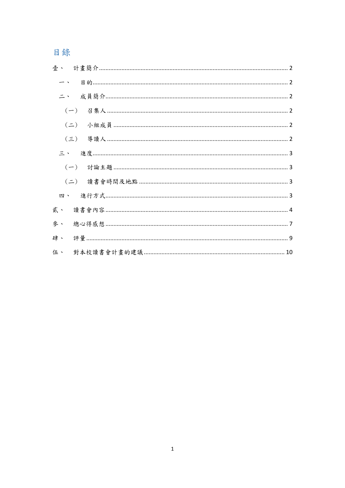# 目錄

|    | $\overline{\phantom{a}}$ |  |  |  |
|----|--------------------------|--|--|--|
|    | 二、                       |  |  |  |
|    |                          |  |  |  |
|    |                          |  |  |  |
|    |                          |  |  |  |
|    | 三、                       |  |  |  |
|    |                          |  |  |  |
|    |                          |  |  |  |
|    | 四、                       |  |  |  |
| 貳、 |                          |  |  |  |
| 參、 |                          |  |  |  |
| 肆、 |                          |  |  |  |
|    |                          |  |  |  |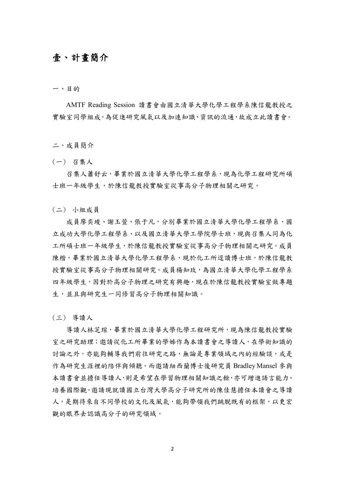#### <span id="page-2-0"></span>壹、 計畫簡介

<span id="page-2-1"></span>一、目的

AMTF Reading Session 讀書會由國立清華大學化學工程學系陳信龍教授之 實驗室同學組成。為促進研究風氣以及加速知識、資訊的流通,故成立此讀書會。

<span id="page-2-2"></span>二、成員簡介

<span id="page-2-3"></span>(一) 召集人

召集人蕭舒云,畢業於國立清華大學化學工程學系,現為化學工程研究所碩 士班一年級學生,於陳信龍教授實驗室從事高分子物理相關之研究。

<span id="page-2-4"></span>(二) 小組成員

成員廖奕竣、謝玉萱、張于凡,分別畢業於國立清華大學化學工程學系、國 立成功大學化學工程學系、以及國立清華大學工學院學士班,現與召集人同為化 工所碩士班一年級學生,於陳信龍教授實驗室從事高分子物理相關之研究。成員 陳楷,畢業於國立清華大學化學工程學系,現於化工所逕讀博士班,於陳信龍教 授實驗室從事高分子物理相關研究。成員楊知玫,為國立清華大學化學工程學系 四年級學生,因對於高分子物理之研究有興趣,現在於陳信龍教授實驗室做專題 生,並且與研究生一同修習高分子物理相關知識。

<span id="page-2-5"></span>(三) 導讀人

導讀人林芝瑄,畢業於國立清華大學化學工程研究所,現為陳信龍教授實驗 室之研究助理;邀請從化工所畢業的學姊作為本讀書會之導讀人,在學術知識的 討論之外,亦能夠輔導我們前往研究之路,無論是專業領域之內的經驗談,或是 作為研究生涯裡的陪伴與傾聽。而邀請紐西蘭博士後研究員 Bradley Mansel 參與 本讀書會並擔任導讀人,則是希望在學習物理相關知識之餘,亦可增進語言能力、 培養國際觀。邀請現就讀國立台灣大學高分子研究所的陳佳慧擔任本讀會之導讀 人,是期待來自不同學校的文化及風氣,能夠帶領我們跳脫既有的框架,以更宏 觀的眼界去認識高分子的研究領域。

2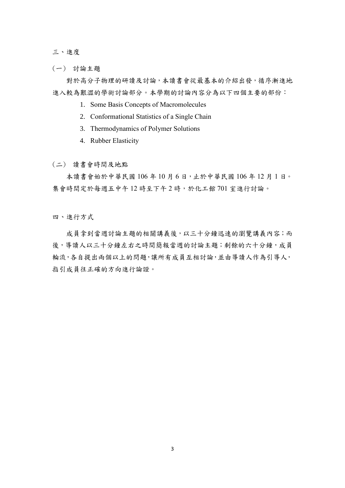<span id="page-3-0"></span>三、進度

<span id="page-3-1"></span>(一) 討論主題

對於高分子物理的研讀及討論,本讀書會從最基本的介紹出發,循序漸進地 進入較為艱澀的學術討論部分。本學期的討論內容分為以下四個主要的部份:

- 1. Some Basis Concepts of Macromolecules
- 2. Conformational Statistics of a Single Chain
- 3. Thermodynamics of Polymer Solutions
- 4. Rubber Elasticity
- <span id="page-3-2"></span>(二) 讀書會時間及地點

本讀書會始於中華民國 106 年 10 月 6 日,止於中華民國 106 年 12 月 1 日。 集會時間定於每週五中午12時至下午2時,於化工館701室進行討論。

<span id="page-3-3"></span>四、進行方式

成員拿到當週討論主題的相關講義後,以三十分鐘迅速的瀏覽講義內容;而 後,導讀人以三十分鐘左右之時間簡報當週的討論主題;剩餘的六十分鐘,成員 輪流,各自提出兩個以上的問題,讓所有成員互相討論,並由導讀人作為引導人, 指引成員往正確的方向進行論證。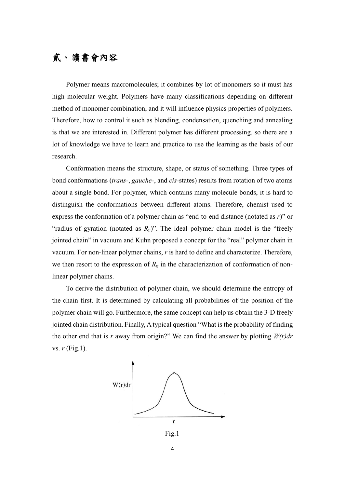## <span id="page-4-0"></span>貳、 讀書會內容

Polymer means macromolecules; it combines by lot of monomers so it must has high molecular weight. Polymers have many classifications depending on different method of monomer combination, and it will influence physics properties of polymers. Therefore, how to control it such as blending, condensation, quenching and annealing is that we are interested in. Different polymer has different processing, so there are a lot of knowledge we have to learn and practice to use the learning as the basis of our research.

Conformation means the structure, shape, or status of something. Three types of bond conformations (*trans-*, *gauche-*, and *cis-*states) results from rotation of two atoms about a single bond. For polymer, which contains many molecule bonds, it is hard to distinguish the conformations between different atoms. Therefore, chemist used to express the conformation of a polymer chain as "end-to-end distance (notated as *r*)" or "radius of gyration (notated as  $R_g$ )". The ideal polymer chain model is the "freely" jointed chain" in vacuum and Kuhn proposed a concept for the "real" polymer chain in vacuum. For non-linear polymer chains, *r* is hard to define and characterize. Therefore, we then resort to the expression of  $R_g$  in the characterization of conformation of nonlinear polymer chains.

To derive the distribution of polymer chain, we should determine the entropy of the chain first. It is determined by calculating all probabilities of the position of the polymer chain will go. Furthermore, the same concept can help us obtain the 3-D freely jointed chain distribution. Finally, A typical question "What is the probability of finding the other end that is  $r$  away from origin?" We can find the answer by plotting  $W(r)dr$ vs. *r* (Fig.1).



Fig.1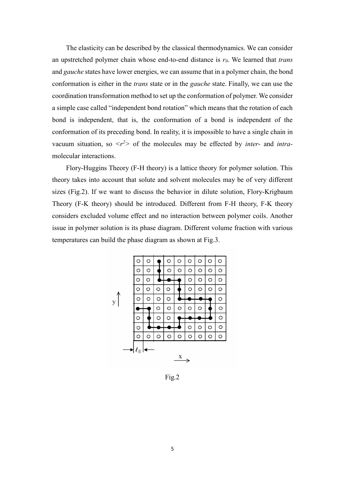The elasticity can be described by the classical thermodynamics. We can consider an upstretched polymer chain whose end-to-end distance is *r0*. We learned that *trans* and *gauche* states have lower energies, we can assume that in a polymer chain, the bond conformation is either in the *trans* state or in the *gauche* state. Finally, we can use the coordination transformation method to set up the conformation of polymer. We consider a simple case called "independent bond rotation" which means that the rotation of each bond is independent, that is, the conformation of a bond is independent of the conformation of its preceding bond. In reality, it is impossible to have a single chain in vacuum situation, so  $\langle r^2 \rangle$  of the molecules may be effected by *inter-* and *intra*molecular interactions.

Flory-Huggins Theory (F-H theory) is a lattice theory for polymer solution. This theory takes into account that solute and solvent molecules may be of very different sizes (Fig.2). If we want to discuss the behavior in dilute solution, Flory-Krigbaum Theory (F-K theory) should be introduced. Different from F-H theory, F-K theory considers excluded volume effect and no interaction between polymer coils. Another issue in polymer solution is its phase diagram. Different volume fraction with various temperatures can build the phase diagram as shown at Fig.3.



Fig.2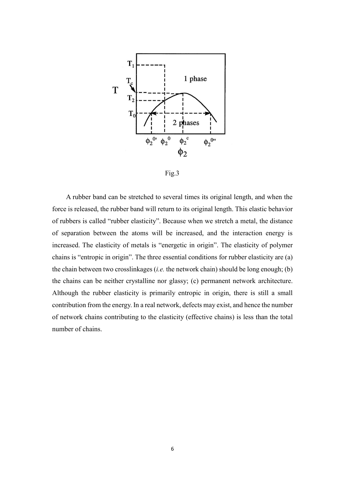

Fig.3

A rubber band can be stretched to several times its original length, and when the force is released, the rubber band will return to its original length. This elastic behavior of rubbers is called "rubber elasticity". Because when we stretch a metal, the distance of separation between the atoms will be increased, and the interaction energy is increased. The elasticity of metals is "energetic in origin". The elasticity of polymer chains is "entropic in origin". The three essential conditions for rubber elasticity are (a) the chain between two crosslinkages (*i.e.* the network chain) should be long enough; (b) the chains can be neither crystalline nor glassy; (c) permanent network architecture. Although the rubber elasticity is primarily entropic in origin, there is still a small contribution from the energy. In a real network, defects may exist, and hence the number of network chains contributing to the elasticity (effective chains) is less than the total number of chains.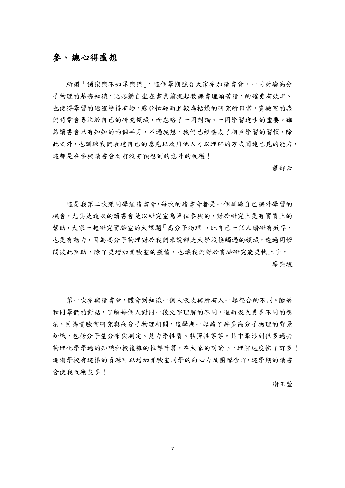#### <span id="page-7-0"></span>參、 總心得感想

所謂「獨樂樂不如眾樂樂」,這個學期號召大家參加讀書會,一同討論高分 子物理的基礎知識,比起獨自坐在書桌前捉起教課書埋頭苦讀,的確更有效率、 也使得學習的過程變得有趣。處於忙碌而且較為枯燥的研究所日常,實驗室的我 們時常會專注於自己的研究領域,而忽略了一同討論、一同學習進步的重要。雖 然讀書會只有短短的兩個半月,不過我想,我們已經養成了相互學習的習慣,除 此之外,也訓練我們表達自己的意見以及用他人可以理解的方式闡述己見的能力, 這都是在參與讀書會之前沒有預想到的意外的收穫!

蕭舒云

這是我第二次跟同學組讀書會,每次的讀書會都是一個訓練自己課外學習的 機會,尤其是這次的讀書會是以研究室為單位參與的,對於研究上更有實質上的 幫助,大家一起研究實驗室的大課題「高分子物理」,比自己一個人鑽研有效率, 也更有動力,因為高分子物理對於我們來說都是大學沒接觸過的領域,透過同儕 間彼此互助,除了更增加實驗室的感情,也讓我們對於實驗研究能更快上手。 廖奕竣

第一次參與讀書會,體會到知識一個人吸收與所有人一起整合的不同。隨著 和同學們的對話,了解每個人對同一段文字理解的不同,進而吸收更多不同的想 法。因為實驗室研究與高分子物理相關,這學期一起讀了許多高分子物理的背景 知識,包括分子量分布與測定、熱力學性質、黏彈性等等。其中牽涉到很多過去 物理化學學過的知識和較複雜的推導計算,在大家的討論下,理解速度快了許多! 謝謝學校有這樣的資源可以增加實驗室同學的向心力及團隊合作,這學期的讀書 會使我收穫良多!

謝玉萱

7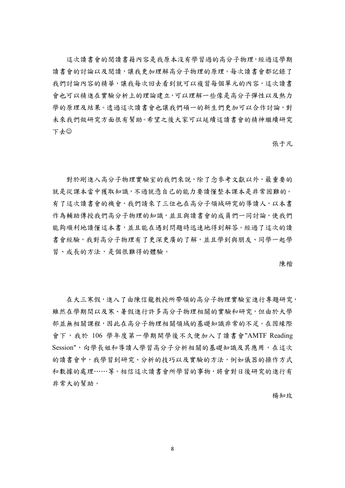這次讀書會的閱讀書籍內容是我原本沒有學習過的高分子物理,經過這學期 讀書會的討論以及閱讀,讓我更加理解高分子物理的原理。每次讀書會都記錄了 我們討論內容的精華,讓我每次回去看到就可以複習每個單元的內容,這次讀書 會也可以精進在實驗分析上的理論建立,可以理解一些像是高分子彈性以及熱力 學的原理及結果。透過這次讀書會也讓我們碩一的新生們更加可以合作討論,對 未來我們做研究方面很有幫助。希望之後大家可以延續這讀書會的精神繼續研究 下去

張于凡

對於剛進入高分子物理實驗室的我們來說,除了念參考文獻以外,最重要的 就是從課本當中獲取知識,不過就憑自己的能力要讀懂整本課本是非常困難的。 有了這次讀書會的機會,我們請來了三位也在高分子領域研究的導讀人,以本書 作為輔助傳授我們高分子物理的知識,並且與讀書會的成員們一同討論,使我們 能夠順利地讀懂這本書,並且能在遇到問題時迅速地得到解答。經過了這次的讀 書會經驗,我對高分子物理有了更深更廣的了解,並且學到與朋友、同學一起學 習、成長的方法,是個很難得的體驗。

陳楷

在大三寒假,進入了由陳信龍教授所帶領的高分子物理實驗室進行專題研究, 雖然在學期間以及寒、暑假進行許多高分子物理相關的實驗和研究,但由於大學 部並無相關課程,因此在高分子物理相關領域的基礎知識非常的不足。在因緣際 會下,我於 106 學年度第一學期開學後不久便加入了讀書會"AMTF Reading Session",向學長姐和導讀人學習高分子分析相關的基礎知識及其應用,在這次 的讀書會中,我學習到研究、分析的技巧以及實驗的方法,例如儀器的操作方式 和數據的處理……等。相信這次讀書會所學習的事物,將會對日後研究的進行有 非常大的幫助。

楊知玫

8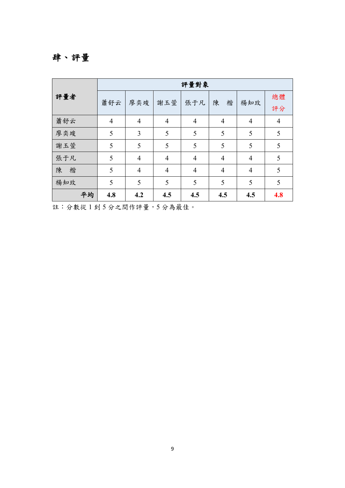# <span id="page-9-0"></span>肆、評量

|        | 評量對象           |                |                |                |                |                |                |  |  |
|--------|----------------|----------------|----------------|----------------|----------------|----------------|----------------|--|--|
| 評量者    | 蕭舒云            | 廖奕竣            | 謝玉萱            | 張于凡            | 楷<br>陳         | 楊知玫            | 總體<br>評分       |  |  |
| 蕭舒云    | $\overline{4}$ | $\overline{4}$ | $\overline{4}$ | $\overline{4}$ | $\overline{4}$ | $\overline{4}$ | $\overline{4}$ |  |  |
| 廖奕竣    | 5              | 3              | 5              | 5              | 5              | 5              | 5              |  |  |
| 謝玉萱    | 5              | 5              | 5              | 5              | 5              | 5              | 5              |  |  |
| 張于凡    | 5              | $\overline{4}$ | $\overline{4}$ | $\overline{4}$ | $\overline{4}$ | $\overline{4}$ | 5              |  |  |
| 陳<br>楷 | 5              | $\overline{4}$ | $\overline{4}$ | $\overline{4}$ | $\overline{4}$ | $\overline{4}$ | 5              |  |  |
| 楊知玫    | 5              | 5              | 5              | 5              | 5              | 5              | 5              |  |  |
| 平均     | 4.8            | 4.2            | 4.5            | 4.5            | 4.5            | 4.5            | 4.8            |  |  |

註:分數從 1 到 5 分之間作評量,5 分為最佳。